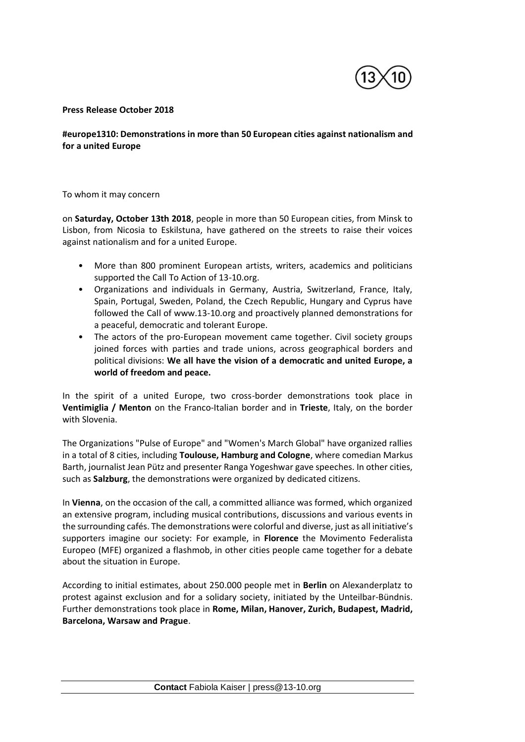

## **Press Release October 2018**

## **#europe1310: Demonstrations in more than 50 European cities against nationalism and for a united Europe**

To whom it may concern

on **Saturday, October 13th 2018**, people in more than 50 European cities, from Minsk to Lisbon, from Nicosia to Eskilstuna, have gathered on the streets to raise their voices against nationalism and for a united Europe.

- More than 800 prominent European artists, writers, academics and politicians supported the Call To Action of 13-10.org.
- Organizations and individuals in Germany, Austria, Switzerland, France, Italy, Spain, Portugal, Sweden, Poland, the Czech Republic, Hungary and Cyprus have followed the Call of www.13-10.org and proactively planned demonstrations for a peaceful, democratic and tolerant Europe.
- The actors of the pro-European movement came together. Civil society groups joined forces with parties and trade unions, across geographical borders and political divisions: **We all have the vision of a democratic and united Europe, a world of freedom and peace.**

In the spirit of a united Europe, two cross-border demonstrations took place in **Ventimiglia / Menton** on the Franco-Italian border and in **Trieste**, Italy, on the border with Slovenia.

The Organizations "Pulse of Europe" and "Women's March Global" have organized rallies in a total of 8 cities, including **Toulouse, Hamburg and Cologne**, where comedian Markus Barth, journalist Jean Pütz and presenter Ranga Yogeshwar gave speeches. In other cities, such as **Salzburg**, the demonstrations were organized by dedicated citizens.

In **Vienna**, on the occasion of the call, a committed alliance was formed, which organized an extensive program, including musical contributions, discussions and various events in the surrounding cafés. The demonstrations were colorful and diverse, just as all initiative's supporters imagine our society: For example, in **Florence** the Movimento Federalista Europeo (MFE) organized a flashmob, in other cities people came together for a debate about the situation in Europe.

According to initial estimates, about 250.000 people met in **Berlin** on Alexanderplatz to protest against exclusion and for a solidary society, initiated by the Unteilbar-Bündnis. Further demonstrations took place in **Rome, Milan, Hanover, Zurich, Budapest, Madrid, Barcelona, Warsaw and Prague**.